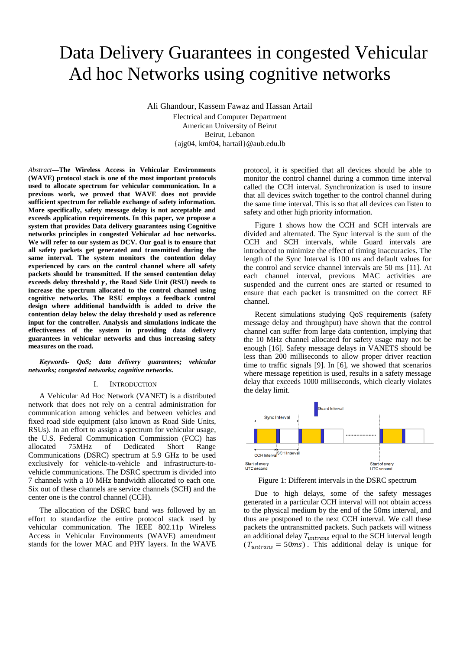# Data Delivery Guarantees in congested Vehicular Ad hoc Networks using cognitive networks

Ali Ghandour, Kassem Fawaz and Hassan Artail

Electrical and Computer Department American University of Beirut Beirut, Lebanon {ajg04, kmf04, hartail}@aub.edu.lb

*Abstract***—The Wireless Access in Vehicular Environments (WAVE) protocol stack is one of the most important protocols used to allocate spectrum for vehicular communication. In a previous work, we proved that WAVE does not provide sufficient spectrum for reliable exchange of safety information. More specifically, safety message delay is not acceptable and exceeds application requirements. In this paper, we propose a system that provides Data delivery guarantees using Cognitive networks principles in congested Vehicular ad hoc networks. We will refer to our system as DCV. Our goal is to ensure that all safety packets get generated and transmitted during the same interval. The system monitors the contention delay experienced by cars on the control channel where all safety packets should be transmitted. If the sensed contention delay**  exceeds delay threshold  $\gamma$ , the Road Side Unit (RSU) needs to **increase the spectrum allocated to the control channel using cognitive networks. The RSU employs a feedback control design where additional bandwidth is added to drive the**  contention delay below the delay threshold  $\gamma$  used as reference **input for the controller. Analysis and simulations indicate the effectiveness of the system in providing data delivery guarantees in vehicular networks and thus increasing safety measures on the road.**

*Keywords- QoS; data delivery guarantees; vehicular networks; congested networks; cognitive networks.*

#### I. INTRODUCTION

A Vehicular Ad Hoc Network (VANET) is a distributed network that does not rely on a central administration for communication among vehicles and between vehicles and fixed road side equipment (also known as Road Side Units, RSUs). In an effort to assign a spectrum for vehicular usage, the U.S. Federal Communication Commission (FCC) has allocated 75MHz of Dedicated Short Range Communications (DSRC) spectrum at 5.9 GHz to be used exclusively for vehicle-to-vehicle and infrastructure-tovehicle communications. The DSRC spectrum is divided into 7 channels with a 10 MHz bandwidth allocated to each one. Six out of these channels are service channels (SCH) and the center one is the control channel (CCH).

The allocation of the DSRC band was followed by an effort to standardize the entire protocol stack used by vehicular communication. The IEEE 802.11p Wireless Access in Vehicular Environments (WAVE) amendment stands for the lower MAC and PHY layers. In the WAVE

protocol, it is specified that all devices should be able to monitor the control channel during a common time interval called the CCH interval. Synchronization is used to insure that all devices switch together to the control channel during the same time interval. This is so that all devices can listen to safety and other high priority information.

Figure 1 shows how the CCH and SCH intervals are divided and alternated. The Sync interval is the sum of the CCH and SCH intervals, while Guard intervals are introduced to minimize the effect of timing inaccuracies. The length of the Sync Interval is 100 ms and default values for the control and service channel intervals are 50 ms [11]. At each channel interval, previous MAC activities are suspended and the current ones are started or resumed to ensure that each packet is transmitted on the correct RF channel.

Recent simulations studying QoS requirements (safety message delay and throughput) have shown that the control channel can suffer from large data contention, implying that the 10 MHz channel allocated for safety usage may not be enough [16]. Safety message delays in VANETS should be less than 200 milliseconds to allow proper driver reaction time to traffic signals [9]. In [6], we showed that scenarios where message repetition is used, results in a safety message delay that exceeds 1000 milliseconds, which clearly violates the delay limit.



Figure 1: Different intervals in the DSRC spectrum

Due to high delays, some of the safety messages generated in a particular CCH interval will not obtain access to the physical medium by the end of the 50ms interval, and thus are postponed to the next CCH interval. We call these packets the untransmitted packets. Such packets will witness an additional delay  $T_{untrans}$  equal to the SCH interval length  $(T_{untrans} = 50 \text{ ms})$ . This additional delay is unique for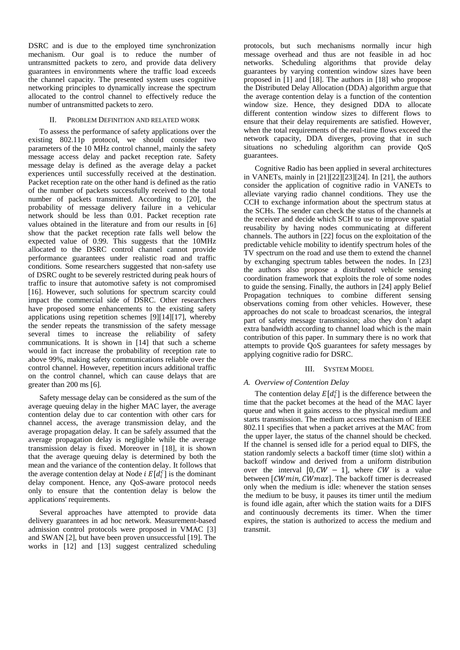DSRC and is due to the employed time synchronization mechanism. Our goal is to reduce the number of untransmitted packets to zero, and provide data delivery guarantees in environments where the traffic load exceeds the channel capacity. The presented system uses cognitive networking principles to dynamically increase the spectrum allocated to the control channel to effectively reduce the number of untransmitted packets to zero.

# II. PROBLEM DEFINITION AND RELATED WORK

To assess the performance of safety applications over the existing 802.11p protocol, we should consider two parameters of the 10 MHz control channel, mainly the safety message access delay and packet reception rate. Safety message delay is defined as the average delay a packet experiences until successfully received at the destination. Packet reception rate on the other hand is defined as the ratio of the number of packets successfully received to the total number of packets transmitted. According to [20], the probability of message delivery failure in a vehicular network should be less than 0.01. Packet reception rate values obtained in the literature and from our results in [6] show that the packet reception rate falls well below the expected value of 0.99. This suggests that the 10MHz allocated to the DSRC control channel cannot provide performance guarantees under realistic road and traffic conditions. Some researchers suggested that non-safety use of DSRC ought to be severely restricted during peak hours of traffic to insure that automotive safety is not compromised [16]. However, such solutions for spectrum scarcity could impact the commercial side of DSRC. Other researchers have proposed some enhancements to the existing safety applications using repetition schemes [9][14][17], whereby the sender repeats the transmission of the safety message several times to increase the reliability of safety communications. It is shown in [14] that such a scheme would in fact increase the probability of reception rate to above 99%, making safety communications reliable over the control channel. However, repetition incurs additional traffic on the control channel, which can cause delays that are greater than 200 ms [6].

Safety message delay can be considered as the sum of the average queuing delay in the higher MAC layer, the average contention delay due to car contention with other cars for channel access, the average transmission delay, and the average propagation delay. It can be safely assumed that the average propagation delay is negligible while the average transmission delay is fixed. Moreover in [18], it is shown that the average queuing delay is determined by both the mean and the variance of the contention delay. It follows that the average contention delay at Node *i*  $E[d_i^c]$  is the dominant delay component. Hence, any QoS-aware protocol needs only to ensure that the contention delay is below the applications' requirements.

Several approaches have attempted to provide data delivery guarantees in ad hoc network. Measurement-based admission control protocols were proposed in VMAC [3] and SWAN [2], but have been proven unsuccessful [19]. The works in [12] and [13] suggest centralized scheduling

protocols, but such mechanisms normally incur high message overhead and thus are not feasible in ad hoc networks. Scheduling algorithms that provide delay guarantees by varying contention window sizes have been proposed in [1] and [18]. The authors in [18] who propose the Distributed Delay Allocation (DDA) algorithm argue that the average contention delay is a function of the contention window size. Hence, they designed DDA to allocate different contention window sizes to different flows to ensure that their delay requirements are satisfied. However, when the total requirements of the real-time flows exceed the network capacity, DDA diverges, proving that in such situations no scheduling algorithm can provide QoS guarantees.

Cognitive Radio has been applied in several architectures in VANETs, mainly in [21][22][23][24]. In [21], the authors consider the application of cognitive radio in VANETs to alleviate varying radio channel conditions. They use the CCH to exchange information about the spectrum status at the SCHs. The sender can check the status of the channels at the receiver and decide which SCH to use to improve spatial reusability by having nodes communicating at different channels. The authors in [22] focus on the exploitation of the predictable vehicle mobility to identify spectrum holes of the TV spectrum on the road and use them to extend the channel by exchanging spectrum tables between the nodes. In [23] the authors also propose a distributed vehicle sensing coordination framework that exploits the role of some nodes to guide the sensing. Finally, the authors in [24] apply Belief Propagation techniques to combine different sensing observations coming from other vehicles. However, these approaches do not scale to broadcast scenarios, the integral part of safety message transmission; also they don't adapt extra bandwidth according to channel load which is the main contribution of this paper. In summary there is no work that attempts to provide QoS guarantees for safety messages by applying cognitive radio for DSRC.

# III. SYSTEM MODEL

# *A. Overview of Contention Delay*

The contention delay  $E[d_i^c]$  is the difference between the time that the packet becomes at the head of the MAC layer queue and when it gains access to the physical medium and starts transmission. The medium access mechanism of IEEE 802.11 specifies that when a packet arrives at the MAC from the upper layer, the status of the channel should be checked. If the channel is sensed idle for a period equal to DIFS, the station randomly selects a backoff timer (time slot) within a backoff window and derived from a uniform distribution over the interval  $[0, CW - 1]$ , where CW is a value between  $[CWmin, CWmax]$ . The backoff timer is decreased only when the medium is idle: whenever the station senses the medium to be busy, it pauses its timer until the medium is found idle again, after which the station waits for a DIFS and continuously decrements its timer. When the timer expires, the station is authorized to access the medium and transmit.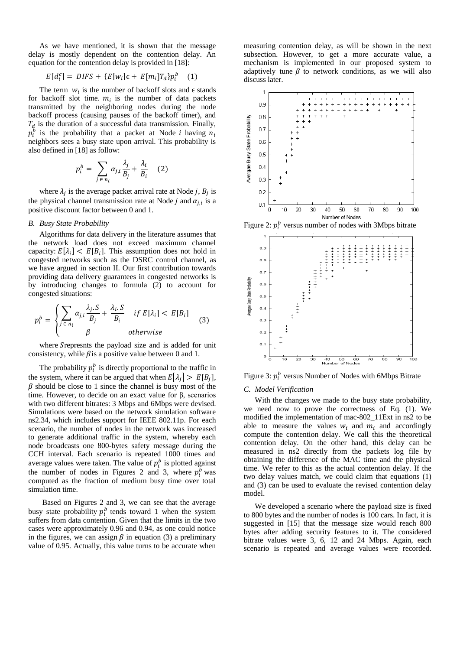As we have mentioned, it is shown that the message delay is mostly dependent on the contention delay. An equation for the contention delay is provided in [18]:

$$
E[d_i^c] = DIFS + \{E[w_i]\epsilon + E[m_i]T_d\}p_i^b \quad (1)
$$

The term  $w_i$  is the number of backoff slots and  $\epsilon$  stands for backoff slot time.  $m_i$  is the number of data packets transmitted by the neighboring nodes during the node backoff process (causing pauses of the backoff timer), and  $T_d$  is the duration of a successful data transmission. Finally,  $p_i^b$  is the probability that a packet at Node *i* having  $n_i$ neighbors sees a busy state upon arrival. This probability is also defined in [18] as follow:

$$
p_i^b = \sum_{j \in n_i} \alpha_{j,i} \frac{\lambda_j}{B_j} + \frac{\lambda_i}{B_i} \quad (2)
$$

where  $\lambda_j$  is the average packet arrival rate at Node j,  $B_j$  is the physical channel transmission rate at Node  $j$  and  $\alpha_{j,i}$  is a positive discount factor between 0 and 1.

## *B. Busy State Probability*

Algorithms for data delivery in the literature assumes that the network load does not exceed maximum channel capacity:  $E[\lambda_i] < E[B_i]$ . This assumption does not hold in congested networks such as the DSRC control channel, as we have argued in section II. Our first contribution towards providing data delivery guarantees in congested networks is by introducing changes to formula (2) to account for congested situations:

$$
p_i^b = \begin{cases} \sum_{j \in n_i} \alpha_{j,i} \frac{\lambda_j.S}{B_j} + \frac{\lambda_i.S}{B_i} & \text{if } E[\lambda_i] < E[B_i] \\ \beta & \text{otherwise} \end{cases} \tag{3}
$$

where Srepresnts the payload size and is added for unit consistency, while  $\beta$  is a positive value between 0 and 1.

The probability  $p_i^b$  is directly proportional to the traffic in the system, where it can be argued that when  $E[\lambda_j] > E[B_j]$ ,  $\beta$  should be close to 1 since the channel is busy most of the time. However, to decide on an exact value for  $β$ , scenarios with two different bitrates: 3 Mbps and 6Mbps were devised. Simulations were based on the network simulation software ns2.34, which includes support for IEEE 802.11p. For each scenario, the number of nodes in the network was increased to generate additional traffic in the system, whereby each node broadcasts one 800-bytes safety message during the CCH interval. Each scenario is repeated 1000 times and average values were taken. The value of  $p_i^b$  is plotted against the number of nodes in Figures 2 and 3, where  $p_i^b$  was computed as the fraction of medium busy time over total simulation time.

Based on Figures 2 and 3, we can see that the average busy state probability  $p_i^b$  tends toward 1 when the system suffers from data contention. Given that the limits in the two cases were approximately 0.96 and 0.94, as one could notice in the figures, we can assign  $\beta$  in equation (3) a preliminary value of 0.95. Actually, this value turns to be accurate when

measuring contention delay, as will be shown in the next subsection. However, to get a more accurate value, a mechanism is implemented in our proposed system to adaptively tune  $\beta$  to network conditions, as we will also discuss later.



Figure 2:  $p_i^b$  versus number of nodes with 3Mbps bitrate



Figure 3:  $p_i^b$  versus Number of Nodes with 6Mbps Bitrate

#### *C. Model Verification*

With the changes we made to the busy state probability, we need now to prove the correctness of Eq. (1). We modified the implementation of mac-802\_11Ext in ns2 to be able to measure the values  $w_i$  and  $m_i$  and accordingly compute the contention delay. We call this the theoretical contention delay. On the other hand, this delay can be measured in ns2 directly from the packets log file by obtaining the difference of the MAC time and the physical time. We refer to this as the actual contention delay. If the two delay values match, we could claim that equations (1) and (3) can be used to evaluate the revised contention delay model.

We developed a scenario where the payload size is fixed to 800 bytes and the number of nodes is 100 cars. In fact, it is suggested in [15] that the message size would reach 800 bytes after adding security features to it. The considered bitrate values were 3, 6, 12 and 24 Mbps. Again, each scenario is repeated and average values were recorded.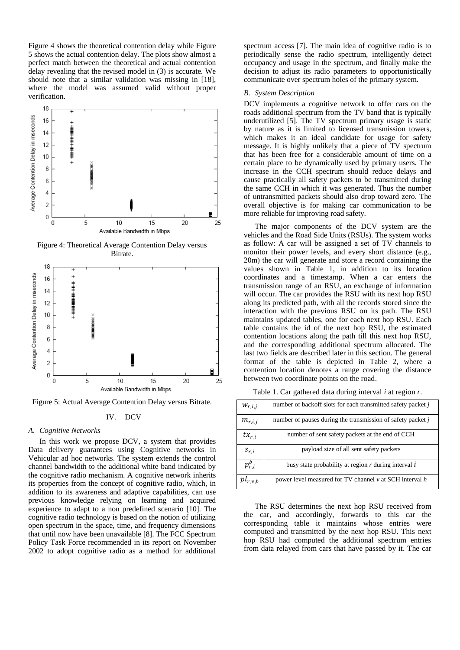Figure 4 shows the theoretical contention delay while Figure 5 shows the actual contention delay. The plots show almost a perfect match between the theoretical and actual contention delay revealing that the revised model in (3) is accurate. We should note that a similar validation was missing in [18], where the model was assumed valid without proper verification.



Figure 4: Theoretical Average Contention Delay versus Bitrate.



Figure 5: Actual Average Contention Delay versus Bitrate.

#### IV. DCV

#### *A. Cognitive Networks*

In this work we propose DCV, a system that provides Data delivery guarantees using Cognitive networks in Vehicular ad hoc networks. The system extends the control channel bandwidth to the additional white band indicated by the cognitive radio mechanism. A cognitive network inherits its properties from the concept of cognitive radio, which, in addition to its awareness and adaptive capabilities, can use previous knowledge relying on learning and acquired experience to adapt to a non predefined scenario [10]. The cognitive radio technology is based on the notion of utilizing open spectrum in the space, time, and frequency dimensions that until now have been unavailable [8]. The FCC Spectrum Policy Task Force recommended in its report on November 2002 to adopt cognitive radio as a method for additional spectrum access [7]. The main idea of cognitive radio is to periodically sense the radio spectrum, intelligently detect occupancy and usage in the spectrum, and finally make the decision to adjust its radio parameters to opportunistically communicate over spectrum holes of the primary system.

# *B. System Description*

DCV implements a cognitive network to offer cars on the roads additional spectrum from the TV band that is typically underutilized [5]. The TV spectrum primary usage is static by nature as it is limited to licensed transmission towers, which makes it an ideal candidate for usage for safety message. It is highly unlikely that a piece of TV spectrum that has been free for a considerable amount of time on a certain place to be dynamically used by primary users. The increase in the CCH spectrum should reduce delays and cause practically all safety packets to be transmitted during the same CCH in which it was generated. Thus the number of untransmitted packets should also drop toward zero. The overall objective is for making car communication to be more reliable for improving road safety.

The major components of the DCV system are the vehicles and the Road Side Units (RSUs). The system works as follow: A car will be assigned a set of TV channels to monitor their power levels, and every short distance (e.g., 20m) the car will generate and store a record containing the values shown in Table 1, in addition to its location coordinates and a timestamp. When a car enters the transmission range of an RSU, an exchange of information will occur. The car provides the RSU with its next hop RSU along its predicted path, with all the records stored since the interaction with the previous RSU on its path. The RSU maintains updated tables, one for each next hop RSU. Each table contains the id of the next hop RSU, the estimated contention locations along the path till this next hop RSU, and the corresponding additional spectrum allocated. The last two fields are described later in this section. The general format of the table is depicted in Table 2, where a contention location denotes a range covering the distance between two coordinate points on the road.

Table 1. Car gathered data during interval *i* at region *r*.

| $W_{r,i,j}$  | number of backoff slots for each transmitted safety packet j   |
|--------------|----------------------------------------------------------------|
| $m_{r,i,j}$  | number of pauses during the transmission of safety packet j    |
| $tx_{r,i}$   | number of sent safety packets at the end of CCH                |
| $s_{r,i}$    | payload size of all sent safety packets                        |
| $p_{r,i}^b$  | busy state probability at region $r$ during interval $\hat{i}$ |
| $pl_{r,v,h}$ | power level measured for TV channel $\nu$ at SCH interval $h$  |

The RSU determines the next hop RSU received from the car, and accordingly, forwards to this car the corresponding table it maintains whose entries were computed and transmitted by the next hop RSU. This next hop RSU had computed the additional spectrum entries from data relayed from cars that have passed by it. The car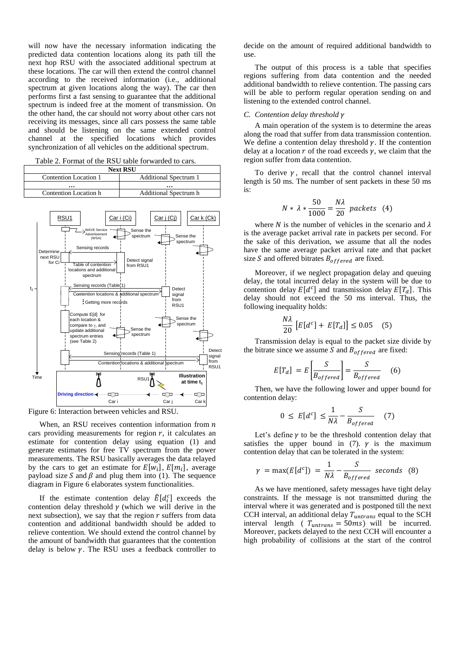will now have the necessary information indicating the predicted data contention locations along its path till the next hop RSU with the associated additional spectrum at these locations. The car will then extend the control channel according to the received information (i.e., additional spectrum at given locations along the way). The car then performs first a fast sensing to guarantee that the additional spectrum is indeed free at the moment of transmission. On the other hand, the car should not worry about other cars not receiving its messages, since all cars possess the same table and should be listening on the same extended control channel at the specified locations which provides synchronization of all vehicles on the additional spectrum.

|  |  | Table 2. Format of the RSU table forwarded to cars. |  |
|--|--|-----------------------------------------------------|--|
|--|--|-----------------------------------------------------|--|

| <b>Next RSU</b>       |                              |  |  |  |  |
|-----------------------|------------------------------|--|--|--|--|
| Contention Location 1 | <b>Additional Spectrum 1</b> |  |  |  |  |
| $\cdots$              | $\cdots$                     |  |  |  |  |
| Contention Location h | <b>Additional Spectrum h</b> |  |  |  |  |
|                       |                              |  |  |  |  |

![](_page_4_Figure_3.jpeg)

Figure 6: Interaction between vehicles and RSU.

When, an RSU receives contention information from  $n$ cars providing measurements for region  $r$ , it calculates an estimate for contention delay using equation (1) and generate estimates for free TV spectrum from the power measurements. The RSU basically averages the data relayed by the cars to get an estimate for  $E[w_i]$ ,  $E[m_i]$ , average payload size S and  $\beta$  and plug them into (1). The sequence diagram in Figure 6 elaborates system functionalities.

If the estimate contention delay  $\hat{E}[d_i^c]$  exceeds the contention delay threshold  $\gamma$  (which we will derive in the next subsection), we say that the region  $r$  suffers from data contention and additional bandwidth should be added to relieve contention. We should extend the control channel by the amount of bandwidth that guarantees that the contention delay is below  $\gamma$ . The RSU uses a feedback controller to

decide on the amount of required additional bandwidth to use.

The output of this process is a table that specifies regions suffering from data contention and the needed additional bandwidth to relieve contention. The passing cars will be able to perform regular operation sending on and listening to the extended control channel.

# *C. Contention delay threshold*

A main operation of the system is to determine the areas along the road that suffer from data transmission contention. We define a contention delay threshold  $\gamma$ . If the contention delay at a location  $r$  of the road exceeds  $\gamma$ , we claim that the region suffer from data contention.

To derive  $\gamma$ , recall that the control channel interval length is 50 ms. The number of sent packets in these 50 ms is:

$$
N * \lambda * \frac{50}{1000} = \frac{N\lambda}{20} \text{ packets} \quad (4)
$$

where N is the number of vehicles in the scenario and  $\lambda$ is the average packet arrival rate in packets per second. For the sake of this derivation, we assume that all the nodes have the same average packet arrival rate and that packet size S and offered bitrates  $B_{offered}$  are fixed.

Moreover, if we neglect propagation delay and queuing delay, the total incurred delay in the system will be due to contention delay  $E[d^c]$  and transmission delay  $E[T_d]$ . This delay should not exceed the 50 ms interval. Thus, the following inequality holds:

$$
\frac{N\lambda}{20}\left[E[d^c] + E[T_d]\right] \le 0.05 \quad (5)
$$

Transmission delay is equal to the packet size divide by the bitrate since we assume S and  $B_{offered}$  are fixed:

$$
E[T_d] = E\left[\frac{S}{B_{offered}}\right] = \frac{S}{B_{offered}}
$$
 (6)

Then, we have the following lower and upper bound for contention delay:

$$
0 \le E[d^c] \le \frac{1}{N\lambda} - \frac{S}{B_{offered}} \quad (7)
$$

Let's define  $\gamma$  to be the threshold contention delay that satisfies the upper bound in (7).  $\gamma$  is the maximum contention delay that can be tolerated in the system:

$$
\gamma = \max(E[d^c]) = \frac{1}{N\lambda} - \frac{S}{B_{offered}} \text{ seconds } (8)
$$

As we have mentioned, safety messages have tight delay constraints. If the message is not transmitted during the interval where it was generated and is postponed till the next CCH interval, an additional delay  $T_{untrans}$  equal to the SCH interval length (  $T_{untrans} = 50$ ms) will be incurred. Moreover, packets delayed to the next CCH will encounter a high probability of collisions at the start of the control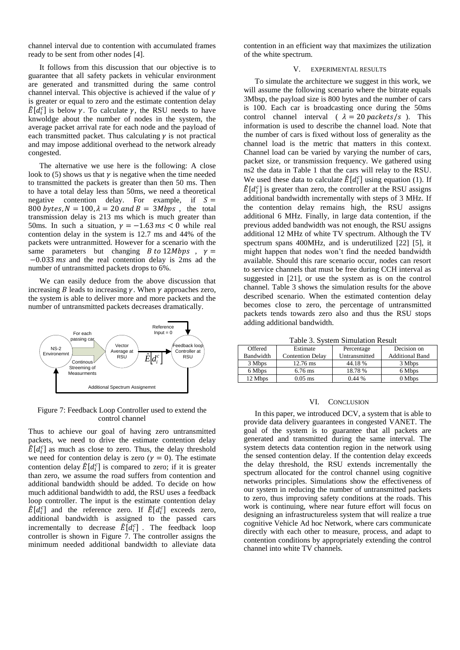channel interval due to contention with accumulated frames ready to be sent from other nodes [4].

It follows from this discussion that our objective is to guarantee that all safety packets in vehicular environment are generated and transmitted during the same control channel interval. This objective is achieved if the value of  $\gamma$ is greater or equal to zero and the estimate contention delay  $\hat{E}[d_i^c]$  is below  $\gamma$ . To calculate  $\gamma$ , the RSU needs to have knwoldge about the number of nodes in the system, the average packet arrival rate for each node and the payload of each transmitted packet. Thus calculating  $\gamma$  is not practical and may impose additional overhead to the network already congested.

The alternative we use here is the following: A close look to (5) shows us that  $\gamma$  is negative when the time needed to transmitted the packets is greater than then 50 ms. Then to have a total delay less than 50ms, we need a theoretical negative contention delay. For example, if  $S =$ 800 bytes,  $N = 100$ ,  $\lambda = 20$  and  $B = 3Mbps$ , the total transmission delay is 213 ms which is much greater than 50ms. In such a situation,  $\gamma = -1.63$  ms < 0 while real contention delay in the system is 12.7 ms and 44% of the packets were untranmitted. However for a scenario with the same parameters but changing *B* to 12*Mbps*,  $v =$  $-0.033$  ms and the real contention delay is 2ms ad the number of untransmitted packets drops to 6%.

We can easily deduce from the above discussion that increasing *B* leads to increasing  $\gamma$ . When  $\gamma$  approaches zero, the system is able to deliver more and more packets and the number of untransmitted packets decreases dramatically.

![](_page_5_Figure_4.jpeg)

Figure 7: Feedback Loop Controller used to extend the control channel

Thus to achieve our goal of having zero untransmitted packets, we need to drive the estimate contention delay  $\hat{E}[d_i^c]$  as much as close to zero. Thus, the delay threshold we need for contention delay is zero ( $\gamma = 0$ ). The estimate contention delay  $\hat{E}[d_i^c]$  is compared to zero; if it is greater than zero, we assume the road suffers from contention and additional bandwidth should be added. To decide on how much additional bandwidth to add, the RSU uses a feedback loop controller. The input is the estimate contention delay  $\hat{E}[\hat{d}_i^c]$  and the reference zero. If  $\hat{E}[d_i^c]$  exceeds zero, additional bandwidth is assigned to the passed cars incrementally to decrease  $\widehat{E}[d_i^c]$ . The feedback loop controller is shown in Figure 7. The controller assigns the minimum needed additional bandwidth to alleviate data

contention in an efficient way that maximizes the utilization of the white spectrum.

## V. EXPERIMENTAL RESULTS

To simulate the architecture we suggest in this work, we will assume the following scenario where the bitrate equals 3Mbsp, the payload size is 800 bytes and the number of cars is 100. Each car is broadcasting once during the 50ms control channel interval (  $\lambda = 20$  packets/s ). This information is used to describe the channel load. Note that the number of cars is fixed without loss of generality as the channel load is the metric that matters in this context. Channel load can be varied by varying the number of cars, packet size, or transmission frequency. We gathered using ns2 the data in Table 1 that the cars will relay to the RSU. We used these data to calculate  $\hat{E}[d_i^c]$  using equation (1). If  $\hat{E}[d_i^c]$  is greater than zero, the controller at the RSU assigns additional bandwidth incrementally with steps of 3 MHz. If the contention delay remains high, the RSU assigns additional 6 MHz. Finally, in large data contention, if the previous added bandwidth was not enough, the RSU assigns additional 12 MHz of white TV spectrum. Although the TV spectrum spans 400MHz, and is underutilized [22] [5], it might happen that nodes won't find the needed bandwidth available. Should this rare scenario occur, nodes can resort to service channels that must be free during CCH interval as suggested in [21], or use the system as is on the control channel. Table 3 shows the simulation results for the above described scenario. When the estimated contention delay becomes close to zero, the percentage of untransmitted packets tends towards zero also and thus the RSU stops adding additional bandwidth.

Table 3. System Simulation Result

| Offered   | Estimate                | Percentage    | Decision on            |  |  |  |  |
|-----------|-------------------------|---------------|------------------------|--|--|--|--|
| Bandwidth | <b>Contention Delay</b> | Untransmitted | <b>Additional Band</b> |  |  |  |  |
| 3 Mbps    | $12.76 \text{ ms}$      | 44.18 %       | 3 Mbps                 |  |  |  |  |
| 6 Mbps    | $6.76$ ms               | 18.78 %       | 6 Mbps                 |  |  |  |  |
| 12 Mbps   | $0.05$ ms               | 0.44%         | 0 Mbps                 |  |  |  |  |

#### VI. CONCLUSION

In this paper, we introduced DCV, a system that is able to provide data delivery guarantees in congested VANET. The goal of the system is to guarantee that all packets are generated and transmitted during the same interval. The system detects data contention region in the network using the sensed contention delay. If the contention delay exceeds the delay threshold, the RSU extends incrementally the spectrum allocated for the control channel using cognitive networks principles. Simulations show the effectiveness of our system in reducing the number of untransmitted packets to zero, thus improving safety conditions at the roads. This work is continuing, where near future effort will focus on designing an infrastructureless system that will realize a true cognitive Vehicle Ad hoc Network, where cars communicate directly with each other to measure, process, and adapt to contention conditions by appropriately extending the control channel into white TV channels.